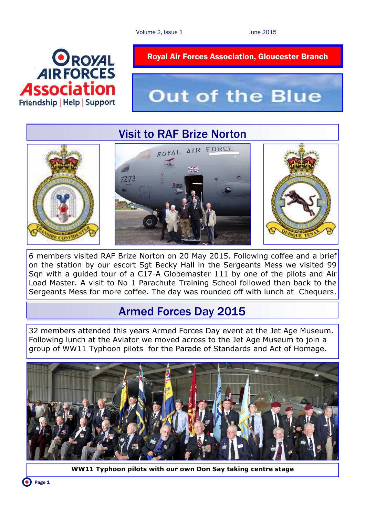

# **Out of the Blue**

# Visit to RAF Brize Norton



6 members visited RAF Brize Norton on 20 May 2015. Following coffee and a brief on the station by our escort Sgt Becky Hall in the Sergeants Mess we visited 99 Sqn with a guided tour of a C17-A Globemaster 111 by one of the pilots and Air Load Master. A visit to No 1 Parachute Training School followed then back to the Sergeants Mess for more coffee. The day was rounded off with lunch at Chequers.

## Armed Forces Day 2015

32 members attended this years Armed Forces Day event at the Jet Age Museum. Following lunch at the Aviator we moved across to the Jet Age Museum to join a group of WW11 Typhoon pilots for the Parade of Standards and Act of Homage.



**WW11 Typhoon pilots with our own Don Say taking centre stage**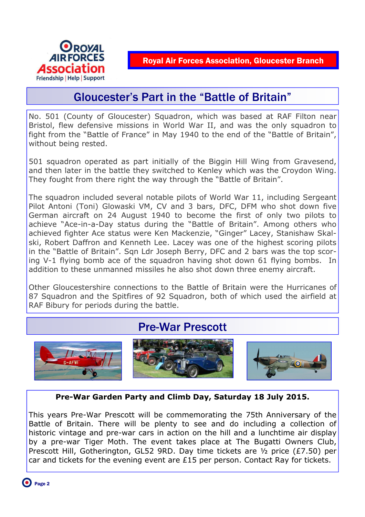

## Gloucester's Part in the "Battle of Britain"

No. 501 (County of Gloucester) Squadron, which was based at RAF Filton near Bristol, flew defensive missions in World War II, and was the only squadron to fight from the "Battle of France" in May 1940 to the end of the "Battle of Britain", without being rested.

501 squadron operated as part initially of the Biggin Hill Wing from Gravesend, and then later in the battle they switched to Kenley which was the Croydon Wing. They fought from there right the way through the "Battle of Britain".

The squadron included several notable pilots of World War 11, including Sergeant Pilot Antoni (Toni) Glowaski VM, CV and 3 bars, DFC, DFM who shot down five German aircraft on 24 August 1940 to become the first of only two pilots to achieve "Ace-in-a-Day status during the "Battle of Britain". Among others who achieved fighter Ace status were Ken Mackenzie, "Ginger" Lacey, Stanishaw Skalski, Robert Daffron and Kenneth Lee. Lacey was one of the highest scoring pilots in the "Battle of Britain". Sqn Ldr Joseph Berry, DFC and 2 bars was the top scoring V-1 flying bomb ace of the squadron having shot down 61 flying bombs. In addition to these unmanned missiles he also shot down three enemy aircraft.

Other Gloucestershire connections to the Battle of Britain were the Hurricanes of 87 Squadron and the Spitfires of 92 Squadron, both of which used the airfield at RAF Bibury for periods during the battle.

# Pre-War Prescott



#### **Pre-War Garden Party and Climb Day, Saturday 18 July 2015.**

This years Pre-War Prescott will be commemorating the 75th Anniversary of the Battle of Britain. There will be plenty to see and do including a collection of historic vintage and pre-war cars in action on the hill and a lunchtime air display by a pre-war Tiger Moth. The event takes place at The Bugatti Owners Club, Prescott Hill, Gotherington, GL52 9RD. Day time tickets are ½ price (£7.50) per car and tickets for the evening event are £15 per person. Contact Ray for tickets.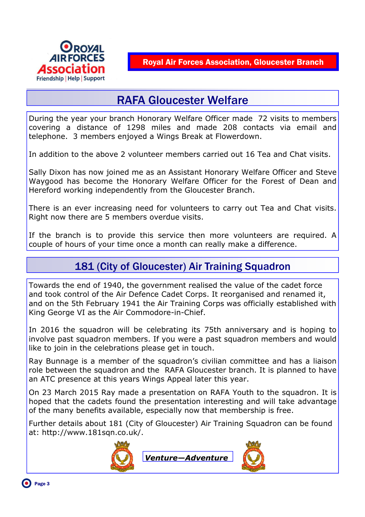

# RAFA Gloucester Welfare

During the year your branch Honorary Welfare Officer made 72 visits to members covering a distance of 1298 miles and made 208 contacts via email and telephone. 3 members enjoyed a Wings Break at Flowerdown.

In addition to the above 2 volunteer members carried out 16 Tea and Chat visits.

Sally Dixon has now joined me as an Assistant Honorary Welfare Officer and Steve Waygood has become the Honorary Welfare Officer for the Forest of Dean and Hereford working independently from the Gloucester Branch.

There is an ever increasing need for volunteers to carry out Tea and Chat visits. Right now there are 5 members overdue visits.

If the branch is to provide this service then more volunteers are required. A couple of hours of your time once a month can really make a difference.

#### 181 (City of Gloucester) Air Training Squadron

Towards the end of 1940, the government realised the value of the cadet force and took control of the Air Defence Cadet Corps. It reorganised and renamed it, and on the 5th February 1941 the Air Training Corps was officially established with King George VI as the Air Commodore-in-Chief.

In 2016 the squadron will be celebrating its 75th anniversary and is hoping to involve past squadron members. If you were a past squadron members and would like to join in the celebrations please get in touch.

Ray Bunnage is a member of the squadron's civilian committee and has a liaison role between the squadron and the RAFA Gloucester branch. It is planned to have an ATC presence at this years Wings Appeal later this year.

On 23 March 2015 Ray made a presentation on RAFA Youth to the squadron. It is hoped that the cadets found the presentation interesting and will take advantage of the many benefits available, especially now that membership is free.

Further details about 181 (City of Gloucester) Air Training Squadron can be found at: http://www.181sqn.co.uk/.